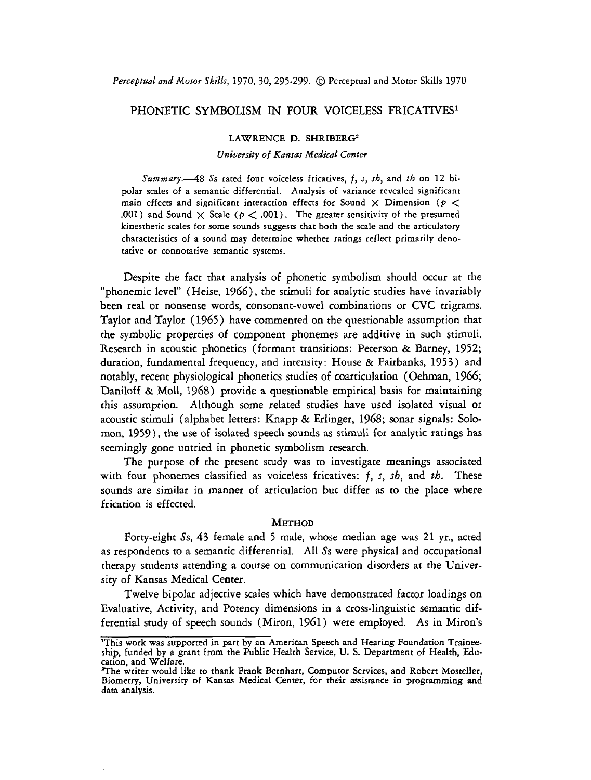# PHONETIC SYMBOLISM IN FOUR VOICELESS FRICATIVES<sup>1</sup>

# LAWRENCE D. SHRIBERG'

#### *University of Kansas Medical Center*

*Summary.48* Ss rated four voiceless fricatives, **f, s, sh,** and **th** on 12 bipolar scales of a semantic differential. Analysis of variance revealed significant main effects and significant interaction effects for Sound  $\times$  Dimension ( $p <$ .001) and Sound  $\times$  Scale ( $p < .001$ ). The greater sensitivity of the presumed kinesthetic scales for some sounds suggests that both the scale and the articulatory characteristics of a sound mag determine whether ratings reflect primarily denotative or connotative semantic systems.

Despite che fact that analysis of phonetic symbolism should occur at the "phonemic level" (Heise, 1966), the stimuli for analytic srudies have invariably been real or nonsense words, consonant-vowel combinations or CVC trigrams. Taylor and Taylor ( 1965) have commented on the questionable assumption that the symbolic properties of component phonemes are additive in such stimuli. Research in acoustic phonetics (formant transitions: Peterson & Barney, 1952; duration, fundamental frequency, and intensity: House & Fairbanks, 1953) and notably, recent physiological phonetics studies of coarticulation (Oehman, 1966; Daniloff & Moll, 1968) provide a questionable empirical basis for maintaining this assumption. Although some related studies have used isolaced visual or acoustic stimuli (alphabet letters: Knapp & Erlinger, 1968; sonar signals: Solomon, 1959), the use of isolated speech sounds as stimuli for analytic ratings has seemingly gone untried in phonetic symbolism research.

The purpose of the present study was to investigate meanings associated with four phonemes classified as voiceless fricatives: f, s, sh, and th. These sounds are similar in manner of articulation but differ as to the place where frication is effected.

### METHOD

Forty-eight Ss, 43 female and 5 male, whose median age **was** 21 yr., acted as respondents to a semantic differential. All Ss were physical and occupational therapy scudents attending a course on communication disorders at the University of Kansas Medical Center.

Twelve bipolar adjective scales which have demonstrated factor loadings on Evaluative, Activity, and Potency dimensions in a cross-linguistic semantic differential study of speech sounds (Miron, 1961) were employed. As in Miron's

<sup>&#</sup>x27;This work was supported in part by an American Speech and Hearing Foundation Traineeship, funded by a grant from the Public Health Service, U. S. Department of Health, Edu-

cation, and Welfare.<br>"The writer would like to thank Frank Bernhart, Computor Services, and Robert Mosteller, Biometry, University of Kansas Medical Center, for their assistance in programming and data analysis.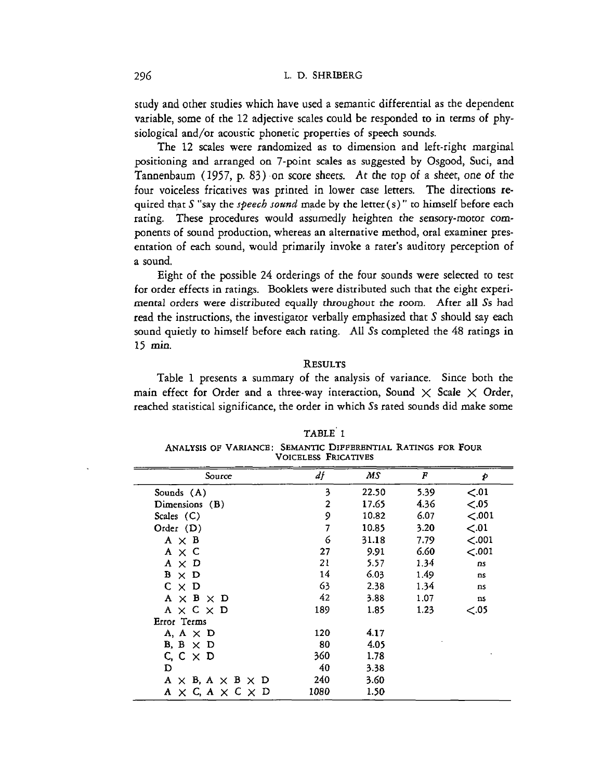study and other studies which have used a semantic differential as the dependent variable, some of the 12 adjective scales could be responded to in terms of physiological and/or acoustic phonetic properties of speech sounds.

The 12 scales were randomized as to dimension and left-right marginal positioning and arranged on 7-point scales as suggested by Osgood, Suci, and Tannenbaum (1957, p. 83) on score sheets. At the top of a sheet, one of the four voiceless fricatives was printed in lower case letters. The directions required that S "say the *speech sound* made by the letter (s)" to himself before each rating. These procedures would assumedly heighten the sensory-motor components of sound production, whereas an alternative method, oral examiner presentation of each sound, would primarily invoke a rater's auditory perception of a sound.

Eight of the possible 24 orderings of the four sounds were selected to test for order effects in ratings. Booklets were distributed such that the eight experimental orders were distributed equally throughout the room. After **all** Ss had read the instructions, the investigator verbally emphasized that S should say each sound quietly to himself before each rating. **All** Ss completed the 48 ratings in 15 min.

## **RESULTS**

Table 1 presents a summary of the analysis of variance. Since both the main effect for Order and a three-way interaction, Sound  $\times$  Scale  $\times$  Order, reached statistical significance, the order in which Ss rated sounds did make some

| Source                               | df   | MS    | F    | Þ         |
|--------------------------------------|------|-------|------|-----------|
| Sounds $(A)$                         | 3    | 22.50 | 5.39 | $-01$     |
| Dimensions (B)                       | 2    | 17.65 | 4.36 | < .05     |
| Scales (C)                           | 9    | 10.82 | 6.07 | < 0.001   |
| Order $(D)$                          | 7    | 10.85 | 3.20 | $\leq 01$ |
| $A \times B$                         | 6    | 31.18 | 7.79 | <.001     |
| $A \times C$                         | 27   | 9.91  | 6.60 | < .001    |
| $A \times D$                         | 21   | 5.57  | 1.34 | ns        |
| $B \times D$                         | 14   | 6.03  | 1.49 | <b>ns</b> |
| $C \times D$                         | 63   | 2.38  | 1.34 | ns        |
| $A \times B \times D$                | 42   | 3.88  | 1.07 | ns        |
| A × C × D                            | 189  | 1.85  | 1.23 | - 05      |
| Error Terms                          |      |       |      |           |
| A, $A \times D$                      | 120  | 4.17  |      |           |
| $B, B \times D$                      | 80   | 4.05  |      |           |
| C, $C \times D$                      | 360  | 1.78  |      |           |
| D                                    | 40   | 3.38  |      |           |
| $A \times B$ , $A \times B \times D$ | 240  | 3.60  |      |           |
| $A \times C$ , $A \times C \times D$ | 1080 | 1.50  |      |           |

TABLE 1 ANALYSIS **OF** VARIANCB: SEMANTIC DIFFERENTIAL RATINGS **FOR FOUR**  VOICELESS FRICATIVES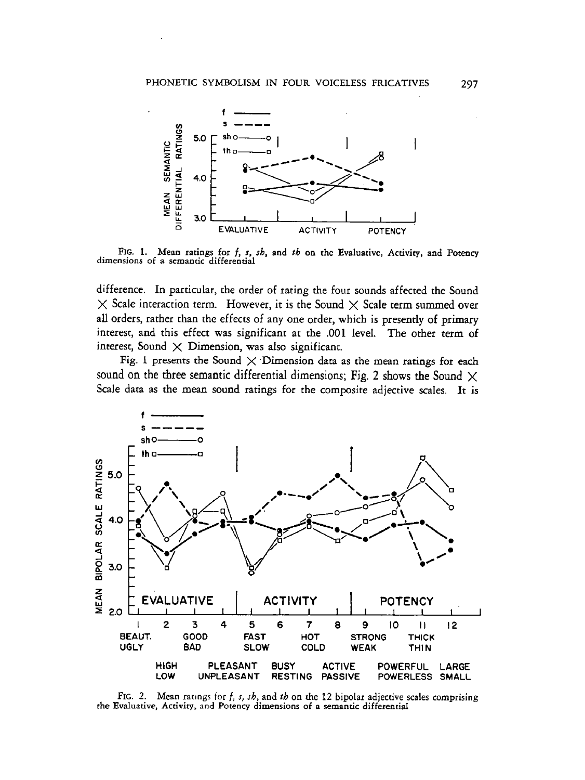

**FIG. 1. Mean ratings for f, I,** *sh,* **and** *rh* **on the Evaluative, Activity, and Potenq dimensions of a semantic differential** 

difference. In particular, the order of rating the four sounds affected the Sound  $\times$  Scale interaction term. However, it is the Sound  $\times$  Scale term summed over all orders, rather than the effects of any one order, which is presently of primary interest, and this effect was significant at **the** .001 level. The other term of interest, Sound  $\times$  Dimension, was also significant.

Fig. 1 presents the Sound  $\times$  Dimension data as the mean ratings for each sound on the three semantic differential dimensions; Fig. 2 shows the Sound  $\times$ Scale data as the mean sound ratings for the composite adjective scales. 1t is



**FIG. 2. Mean ratlogs for f, s,** *sh,* **and** *th* **on the 12 bipolar adjective scales comprising the Evaluative, Activity, and Potency dimensions of a semantic differential**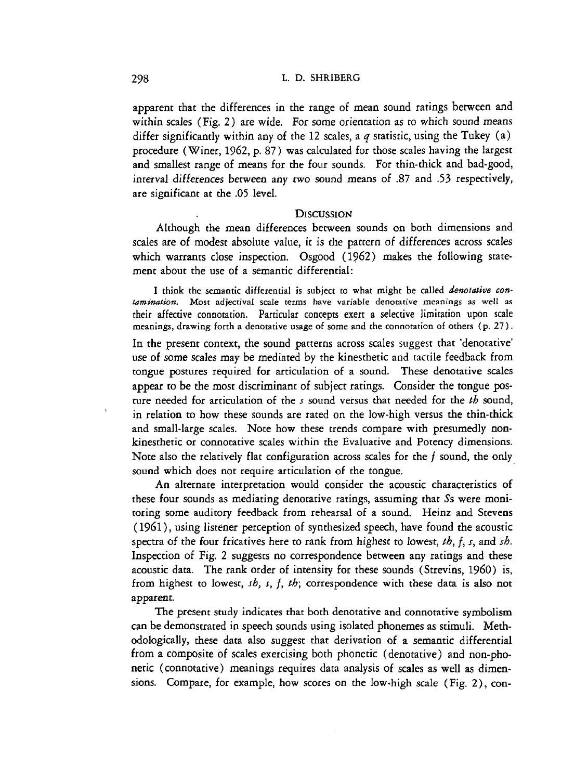apparent that the differences in the range of mean sound ratings between and within scales (Fig. 2) are wide. For some orientation as to which sound means differ significantly within any of the 12 scales, a *q* statistic, using the Tukey (a) procedure (Winer, 1962, p. 87) was calculated for those scales having the largest and smallest range of means for the four sounds. For thin-thick and bad-good, interval differences between any two sound means of .87 and **.53** respectively, are significant at the .05 level.

#### **DISCUSSION**

Although the mean differences between sounds on both dimensions and scales are of modest absolute value, it is the pattern of differences across scales which warrants close inspection. Osgood (1962) makes the following statement about the use of a semantic differential:

**I think the semantic differential is subject to what might be called** *denotutiue contamination.* **Most adjectivaI scale terms have variable denotative meanings as well as**  their affective connotation. Particular concepts exert a selective limitation upon scale **meanings, drawing forth a denotative usage of some and the connotation of others (p. 27).** 

In the present context, the sound patterns across scales suggest that 'denotative' use of some scales may be mediated by the kinesthetic and tactile feedback from tongue postures required for articulation of a sound. These denotative scales appear to be the most discriminant of subject ratings. Consider the tongue posture needed for articulation of the *s* sound versus that needed for the *th* sound, in relation to how these sounds are rated on the low-high versus the thin-thick and small-large scales. Note how these trends compare with presumedly nonkinesthetic or connotative scales within the Evaluative and Potency dimensions. Note also the relatively flat configuration across scales for the **f** sound, the only sound which does not require articulation of the tongue.

An alternate interpretation would consider the acoustic characteristics of these four sounds as mediating denotative ratings, assuming that Ss were monitoring some auditory feedback from rehearsal of a sound. Heinz and Stevens ( 1961), using listener perception of synthesized speech, have found the acoustic spectra of the four fricatives here to rank from highest to lowest,  $th$ ,  $f$ ,  $s$ , and  $sh$ . Inspection of Fig. 2 suggests no correspondence between any ratings and these acoustic data. The rank order of intensity for these sounds (Strevins, 1960) is, from highest to lowest, *sh, s,* f, *th;* correspondence with these data is also not apparent.

The present study indicates that both denotative and connotative symbolism can be demonstrated in speech sounds using isolated phonemes as stimuli. Methodologically, these data also suggest that derivation of a semantic differential from a composite of scales exercising both phonetic (denotative) and non-phonetic (connotative) meanings requires data analysis of scales as well as dimensions. Compare, for example, how scores on the low-high scale (Fig. **2),** con-